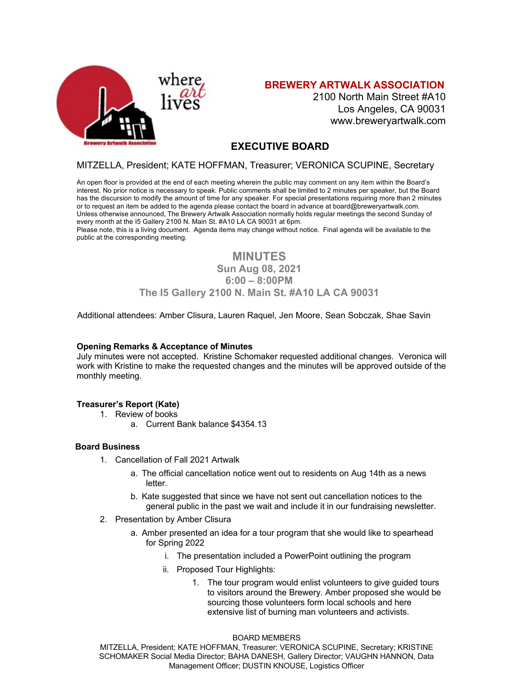

# **BREWERY ARTWALK ASSOCIATION**

2100 North Main Street #A10 Los Angeles, CA 90031 www.breweryartwalk.com

# **EXECUTIVE BOARD**

## MITZELLA, President; KATE HOFFMAN, Treasurer; VERONICA SCUPINE, Secretary

An open floor is provided at the end of each meeting wherein the public may comment on any item within the Board's interest. No prior notice is necessary to speak. Public comments shall be limited to 2 minutes per speaker, but the Board has the discursion to modify the amount of time for any speaker. For special presentations requiring more than 2 minutes or to request an item be added to the agenda please contact the board in advance at board@breweryartwalk.com. Unless otherwise announced, The Brewery Artwalk Association normally holds regular meetings the second Sunday of every month at the I5 Gallery 2100 N. Main St. #A10 LA CA 90031 at 6pm.

Please note, this is a living document. Agenda items may change without notice. Final agenda will be available to the public at the corresponding meeting.

# **MINUTES**

# **Sun Aug 08, 2021**

# **6:00 – 8:00PM**

# **The I5 Gallery 2100 N. Main St. #A10 LA CA 90031**

Additional attendees: Amber Clisura, Lauren Raquel, Jen Moore, Sean Sobczak, Shae Savin

### **Opening Remarks & Acceptance of Minutes**

July minutes were not accepted. Kristine Schomaker requested additional changes. Veronica will work with Kristine to make the requested changes and the minutes will be approved outside of the monthly meeting.

### **Treasurer's Report (Kate)**

- 1. Review of books
	- a. Current Bank balance \$4354.13

### **Board Business**

- 1. Cancellation of Fall 2021 Artwalk
	- a. The official cancellation notice went out to residents on Aug 14th as a news letter.
	- b. Kate suggested that since we have not sent out cancellation notices to the general public in the past we wait and include it in our fundraising newsletter.
- 2. Presentation by Amber Clisura
	- a. Amber presented an idea for a tour program that she would like to spearhead for Spring 2022
		- i. The presentation included a PowerPoint outlining the program
		- ii. Proposed Tour Highlights:
			- 1. The tour program would enlist volunteers to give guided tours to visitors around the Brewery. Amber proposed she would be sourcing those volunteers form local schools and here extensive list of burning man volunteers and activists.

#### BOARD MEMBERS

MITZELLA, President; KATE HOFFMAN, Treasurer; VERONICA SCUPINE, Secretary; KRISTINE SCHOMAKER Social Media Director; BAHA DANESH, Gallery Director; VAUGHN HANNON, Data Management Officer; DUSTIN KNOUSE, Logistics Officer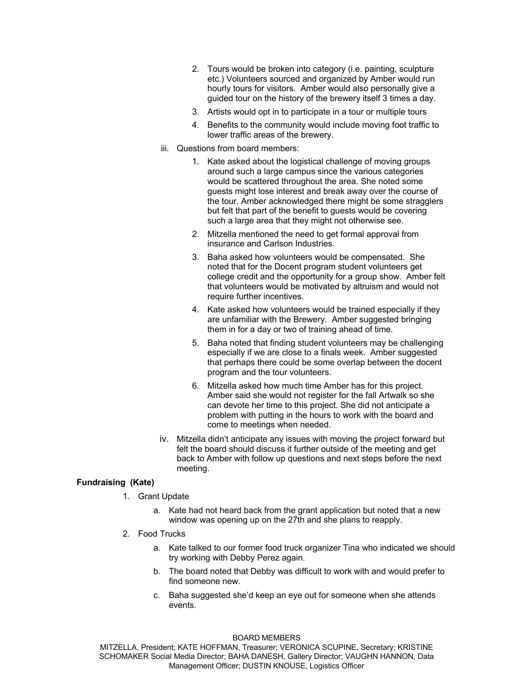- 2. Tours would be broken into category (i.e. painting, sculpture etc.) Volunteers sourced and organized by Amber would run hourly tours for visitors. Amber would also personally give a guided tour on the history of the brewery itself 3 times a day.
- 3. Artists would opt in to participate in a tour or multiple tours
- 4. Benefits to the community would include moving foot traffic to lower traffic areas of the brewery.
- iii. Questions from board members:
	- 1. Kate asked about the logistical challenge of moving groups around such a large campus since the various categories would be scattered throughout the area. She noted some guests might lose interest and break away over the course of the tour. Amber acknowledged there might be some stragglers but felt that part of the benefit to guests would be covering such a large area that they might not otherwise see.
	- 2. Mitzella mentioned the need to get formal approval from insurance and Carlson Industries.
	- 3. Baha asked how volunteers would be compensated. She noted that for the Docent program student volunteers get college credit and the opportunity for a group show. Amber felt that volunteers would be motivated by altruism and would not require further incentives.
	- 4. Kate asked how volunteers would be trained especially if they are unfamiliar with the Brewery. Amber suggested bringing them in for a day or two of training ahead of time.
	- 5. Baha noted that finding student volunteers may be challenging especially if we are close to a finals week. Amber suggested that perhaps there could be some overlap between the docent program and the tour volunteers.
	- 6. Mitzella asked how much time Amber has for this project. Amber said she would not register for the fall Artwalk so she can devote her time to this project. She did not anticipate a problem with putting in the hours to work with the board and come to meetings when needed.
- iv. Mitzella didn't anticipate any issues with moving the project forward but felt the board should discuss it further outside of the meeting and get back to Amber with follow up questions and next steps before the next meeting.

### **Fundraising (Kate)**

- 1. Grant Update
	- a. Kate had not heard back from the grant application but noted that a new window was opening up on the 27th and she plans to reapply.
- 2. Food Trucks
	- a. Kate talked to our former food truck organizer Tina who indicated we should try working with Debby Perez again.
	- b. The board noted that Debby was difficult to work with and would prefer to find someone new.
	- c. Baha suggested she'd keep an eye out for someone when she attends events.

#### BOARD MEMBERS

MITZELLA, President; KATE HOFFMAN, Treasurer; VERONICA SCUPINE, Secretary; KRISTINE SCHOMAKER Social Media Director; BAHA DANESH, Gallery Director; VAUGHN HANNON, Data Management Officer; DUSTIN KNOUSE, Logistics Officer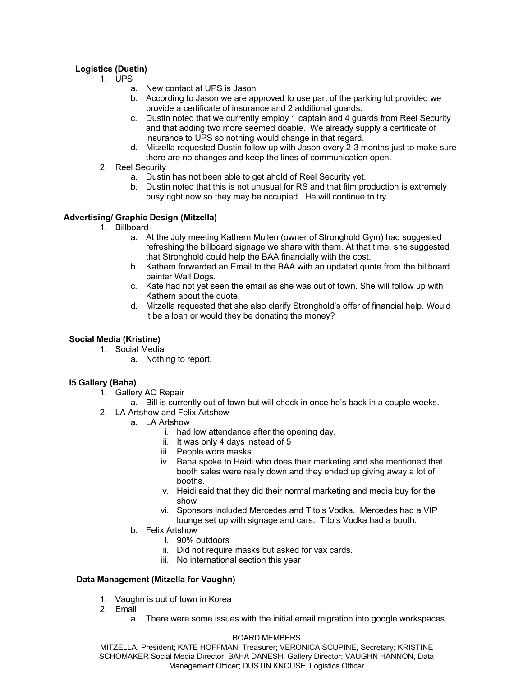# **Logistics (Dustin)**

- 1. UPS
	- a. New contact at UPS is Jason
	- b. According to Jason we are approved to use part of the parking lot provided we provide a certificate of insurance and 2 additional guards.
	- c. Dustin noted that we currently employ 1 captain and 4 guards from Reel Security and that adding two more seemed doable. We already supply a certificate of insurance to UPS so nothing would change in that regard.
	- d. Mitzella requested Dustin follow up with Jason every 2-3 months just to make sure there are no changes and keep the lines of communication open.
- 2. Reel Security
	- a. Dustin has not been able to get ahold of Reel Security yet.
	- b. Dustin noted that this is not unusual for RS and that film production is extremely busy right now so they may be occupied. He will continue to try.

## **Advertising/ Graphic Design (Mitzella)**

- 1. Billboard
	- a. At the July meeting Kathern Mullen (owner of Stronghold Gym) had suggested refreshing the billboard signage we share with them. At that time, she suggested that Stronghold could help the BAA financially with the cost.
	- b. Kathern forwarded an Email to the BAA with an updated quote from the billboard painter Wall Dogs.
	- c. Kate had not yet seen the email as she was out of town. She will follow up with Kathern about the quote.
	- d. Mitzella requested that she also clarify Stronghold's offer of financial help. Would it be a loan or would they be donating the money?

# **Social Media (Kristine)**

1. Social Media

a. Nothing to report.

## **I5 Gallery (Baha)**

- 1. Gallery AC Repair
	- a. Bill is currently out of town but will check in once he's back in a couple weeks.
- 2. LA Artshow and Felix Artshow
	- a. LA Artshow
		- i. had low attendance after the opening day.
		- ii. It was only 4 days instead of 5
		- iii. People wore masks.
		- iv. Baha spoke to Heidi who does their marketing and she mentioned that booth sales were really down and they ended up giving away a lot of booths.
		- v. Heidi said that they did their normal marketing and media buy for the show
		- vi. Sponsors included Mercedes and Tito's Vodka. Mercedes had a VIP lounge set up with signage and cars. Tito's Vodka had a booth.
		- b. Felix Artshow
			- i. 90% outdoors
			- ii. Did not require masks but asked for vax cards.
			- iii. No international section this year

## **Data Management (Mitzella for Vaughn)**

- 1. Vaughn is out of town in Korea
- 2. Email
	- a. There were some issues with the initial email migration into google workspaces.

### BOARD MEMBERS

MITZELLA, President; KATE HOFFMAN, Treasurer; VERONICA SCUPINE, Secretary; KRISTINE SCHOMAKER Social Media Director; BAHA DANESH, Gallery Director; VAUGHN HANNON, Data Management Officer; DUSTIN KNOUSE, Logistics Officer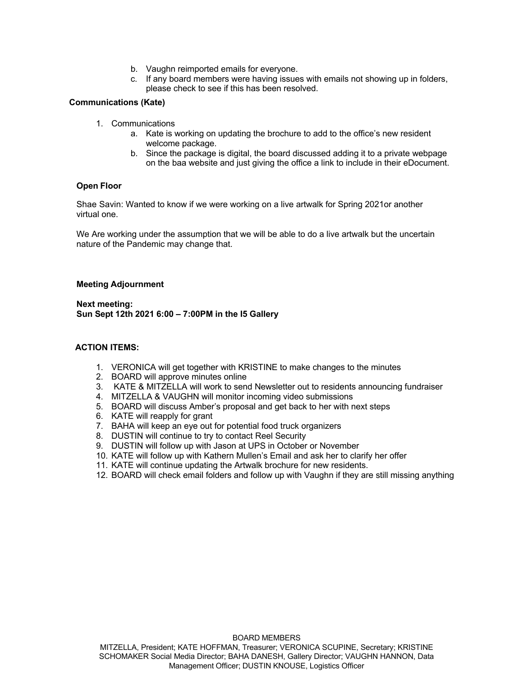- b. Vaughn reimported emails for everyone.
- c. If any board members were having issues with emails not showing up in folders, please check to see if this has been resolved.

### **Communications (Kate)**

- 1. Communications
	- a. Kate is working on updating the brochure to add to the office's new resident welcome package.
	- b. Since the package is digital, the board discussed adding it to a private webpage on the baa website and just giving the office a link to include in their eDocument.

### **Open Floor**

Shae Savin: Wanted to know if we were working on a live artwalk for Spring 2021or another virtual one.

We Are working under the assumption that we will be able to do a live artwalk but the uncertain nature of the Pandemic may change that.

#### **Meeting Adjournment**

**Next meeting: Sun Sept 12th 2021 6:00 – 7:00PM in the I5 Gallery**

### **ACTION ITEMS:**

- 1. VERONICA will get together with KRISTINE to make changes to the minutes
- 2. BOARD will approve minutes online
- 3. KATE & MITZELLA will work to send Newsletter out to residents announcing fundraiser
- 4. MITZELLA & VAUGHN will monitor incoming video submissions
- 5. BOARD will discuss Amber's proposal and get back to her with next steps
- 6. KATE will reapply for grant
- 7. BAHA will keep an eye out for potential food truck organizers
- 8. DUSTIN will continue to try to contact Reel Security
- 9. DUSTIN will follow up with Jason at UPS in October or November
- 10. KATE will follow up with Kathern Mullen's Email and ask her to clarify her offer
- 11. KATE will continue updating the Artwalk brochure for new residents.
- 12. BOARD will check email folders and follow up with Vaughn if they are still missing anything

BOARD MEMBERS